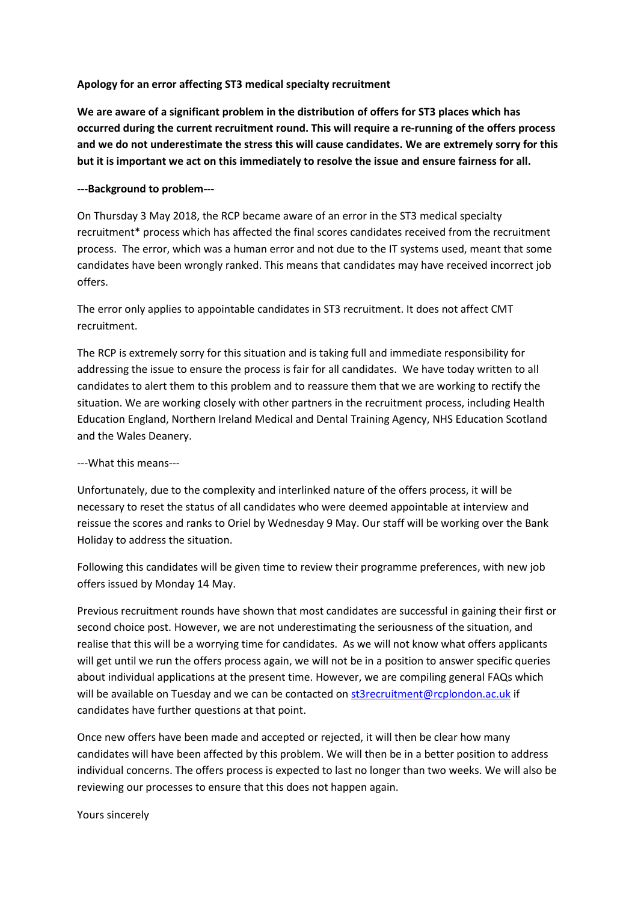## **Apology for an error affecting ST3 medical specialty recruitment**

**We are aware of a significant problem in the distribution of offers for ST3 places which has occurred during the current recruitment round. This will require a re-running of the offers process and we do not underestimate the stress this will cause candidates. We are extremely sorry for this but it is important we act on this immediately to resolve the issue and ensure fairness for all.**

## **---Background to problem---**

On Thursday 3 May 2018, the RCP became aware of an error in the ST3 medical specialty recruitment\* process which has affected the final scores candidates received from the recruitment process. The error, which was a human error and not due to the IT systems used, meant that some candidates have been wrongly ranked. This means that candidates may have received incorrect job offers.

The error only applies to appointable candidates in ST3 recruitment. It does not affect CMT recruitment.

The RCP is extremely sorry for this situation and is taking full and immediate responsibility for addressing the issue to ensure the process is fair for all candidates. We have today written to all candidates to alert them to this problem and to reassure them that we are working to rectify the situation. We are working closely with other partners in the recruitment process, including Health Education England, Northern Ireland Medical and Dental Training Agency, NHS Education Scotland and the Wales Deanery.

## ---What this means---

Unfortunately, due to the complexity and interlinked nature of the offers process, it will be necessary to reset the status of all candidates who were deemed appointable at interview and reissue the scores and ranks to Oriel by Wednesday 9 May. Our staff will be working over the Bank Holiday to address the situation.

Following this candidates will be given time to review their programme preferences, with new job offers issued by Monday 14 May.

Previous recruitment rounds have shown that most candidates are successful in gaining their first or second choice post. However, we are not underestimating the seriousness of the situation, and realise that this will be a worrying time for candidates. As we will not know what offers applicants will get until we run the offers process again, we will not be in a position to answer specific queries about individual applications at the present time. However, we are compiling general FAQs which will be available on Tuesday and we can be contacted o[n st3recruitment@rcplondon.ac.uk](mailto:st3recruitment@rcplondon.ac.uk) if candidates have further questions at that point.

Once new offers have been made and accepted or rejected, it will then be clear how many candidates will have been affected by this problem. We will then be in a better position to address individual concerns. The offers process is expected to last no longer than two weeks. We will also be reviewing our processes to ensure that this does not happen again.

Yours sincerely